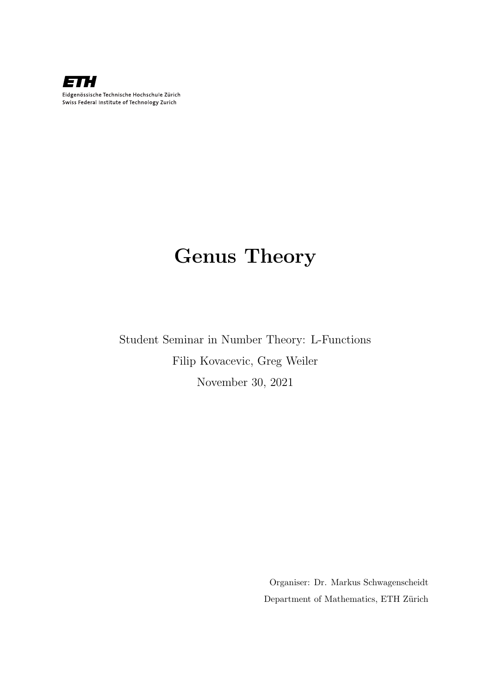

# Genus Theory

Student Seminar in Number Theory: L-Functions Filip Kovacevic, Greg Weiler November 30, 2021

> Organiser: Dr. Markus Schwagenscheidt Department of Mathematics, ETH Zürich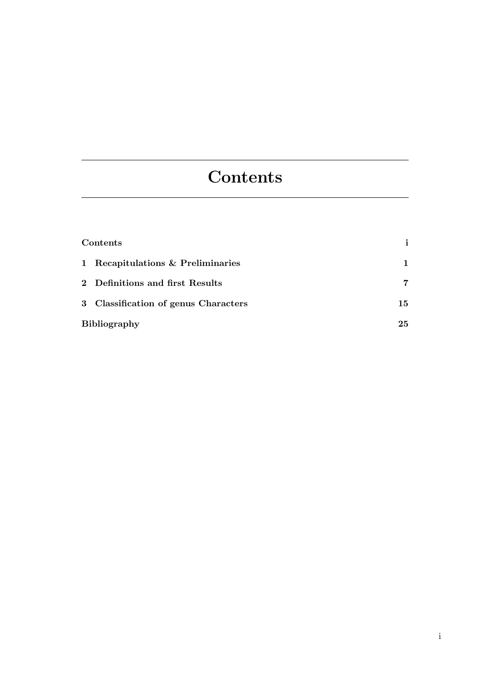# <span id="page-2-0"></span>**Contents**

| Contents                             | i. |
|--------------------------------------|----|
| 1 Recapitulations & Preliminaries    | 1  |
| 2 Definitions and first Results      | 7  |
| 3 Classification of genus Characters | 15 |
| <b>Bibliography</b>                  | 25 |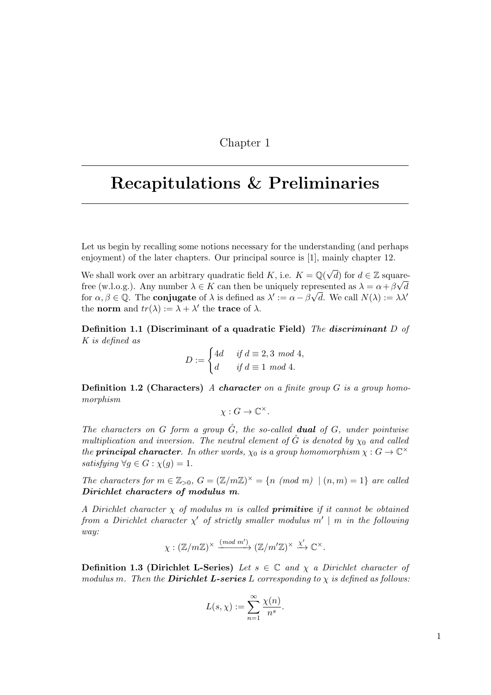### Chapter 1

# <span id="page-4-0"></span>Recapitulations & Preliminaries

Let us begin by recalling some notions necessary for the understanding (and perhaps enjoyment) of the later chapters. Our principal source is [\[1\]](#page-28-1), mainly chapter 12.

We shall work over an arbitrary quadratic field K, i.e.  $K = \mathbb{Q}(\sqrt{d})$  for  $d \in \mathbb{Z}$  squarefree (w.l.o.g.). Any number  $\lambda \in K$  can then be uniquely represented as  $\lambda = \alpha + \beta \sqrt{d}$ for  $\alpha, \beta \in \mathbb{Q}$ . The **conjugate** of  $\lambda$  is defined as  $\lambda' := \alpha - \beta \sqrt{d}$ . We call  $N(\lambda) := \lambda \lambda'$ the **norm** and  $tr(\lambda) := \lambda + \lambda'$  the **trace** of  $\lambda$ .

Definition 1.1 (Discriminant of a quadratic Field) The discriminant D of K is defined as

$$
D := \begin{cases} 4d & \text{if } d \equiv 2, 3 \mod 4, \\ d & \text{if } d \equiv 1 \mod 4. \end{cases}
$$

**Definition 1.2 (Characters)** A character on a finite group  $G$  is a group homomorphism

 $\chi: G \to \mathbb{C}^\times$ .

The characters on G form a group  $\hat{G}$ , the so-called **dual** of G, under pointwise multiplication and inversion. The neutral element of  $\hat{G}$  is denoted by  $\chi_0$  and called the **principal character**. In other words,  $\chi_0$  is a group homomorphism  $\chi : G \to \mathbb{C}^\times$ satisfying  $\forall g \in G : \chi(g) = 1$ .

The characters for  $m \in \mathbb{Z}_{>0}$ ,  $G = (\mathbb{Z}/m\mathbb{Z})^{\times} = \{n \pmod{m} \mid (n,m) = 1\}$  are called Dirichlet characters of modulus m.

A Dirichlet character  $\chi$  of modulus m is called **primitive** if it cannot be obtained from a Dirichlet character  $\chi'$  of strictly smaller modulus  $m' \mid m$  in the following way:

$$
\chi: (\mathbb{Z}/m\mathbb{Z})^\times \xrightarrow{(mod \ m')} (\mathbb{Z}/m'\mathbb{Z})^\times \xrightarrow{\chi'} \mathbb{C}^\times.
$$

**Definition 1.3 (Dirichlet L-Series)** Let  $s \in \mathbb{C}$  and  $\chi$  a Dirichlet character of modulus m. Then the **Dirichlet L-series** L corresponding to  $\chi$  is defined as follows:

$$
L(s,\chi) := \sum_{n=1}^{\infty} \frac{\chi(n)}{n^s}.
$$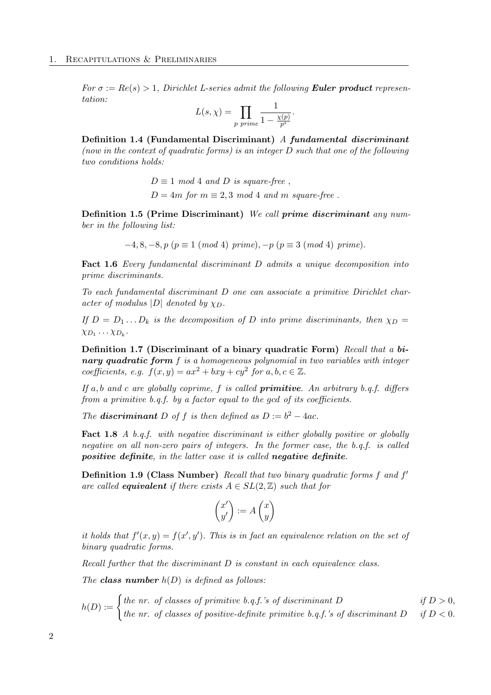For  $\sigma := Re(s) > 1$ , Dirichlet L-series admit the following **Euler product** representation:

$$
L(s,\chi) = \prod_{p \ prime} \frac{1}{1 - \frac{\chi(p)}{p^s}}.
$$

Definition 1.4 (Fundamental Discriminant) A fundamental discriminant (now in the context of quadratic forms) is an integer D such that one of the following two conditions holds:

> $D \equiv 1 \mod 4$  and D is square-free,  $D = 4m$  for  $m \equiv 2, 3 \mod 4$  and m square-free.

Definition 1.5 (Prime Discriminant) We call prime discriminant any number in the following list:

$$
-4, 8, -8, p (p \equiv 1 \ (mod \ 4) \ prime), -p (p \equiv 3 \ (mod \ 4) \ prime).
$$

Fact 1.6 Every fundamental discriminant D admits a unique decomposition into prime discriminants.

To each fundamental discriminant D one can associate a primitive Dirichlet character of modulus  $|D|$  denoted by  $\chi_D$ .

If  $D = D_1 \dots D_k$  is the decomposition of D into prime discriminants, then  $\chi_D =$  $\chi_{D_1} \cdots \chi_{D_k}$ .

Definition 1.7 (Discriminant of a binary quadratic Form) Recall that a binary quadratic form  $f$  is a homogeneous polynomial in two variables with integer coefficients, e.g.  $f(x,y) = ax^2 + bxy + cy^2$  for  $a, b, c \in \mathbb{Z}$ .

If a, b and c are globally coprime, f is called **primitive**. An arbitrary b.q.f. differs from a primitive b.q.f. by a factor equal to the gcd of its coefficients.

The **discriminant** D of f is then defined as  $D := b^2 - 4ac$ .

Fact 1.8 A b.q.f. with negative discriminant is either globally positive or globally negative on all non-zero pairs of integers. In the former case, the b.q.f. is called positive definite, in the latter case it is called negative definite.

<span id="page-5-0"></span>Definition 1.9 (Class Number) Recall that two binary quadratic forms f and f are called **equivalent** if there exists  $A \in SL(2, \mathbb{Z})$  such that for

$$
\begin{pmatrix} x' \\ y' \end{pmatrix} := A \begin{pmatrix} x \\ y \end{pmatrix}
$$

it holds that  $f'(x, y) = f(x', y')$ . This is in fact an equivalence relation on the set of binary quadratic forms.

Recall further that the discriminant D is constant in each equivalence class.

The **class number**  $h(D)$  is defined as follows:

$$
h(D) := \begin{cases} \text{the nr. of classes of primitive b.q.f.'s of discriminant } D & \text{if } D > 0, \\ \text{the nr. of classes of positive-definite primitive b.q.f.'s of discriminant } D & \text{if } D < 0. \end{cases}
$$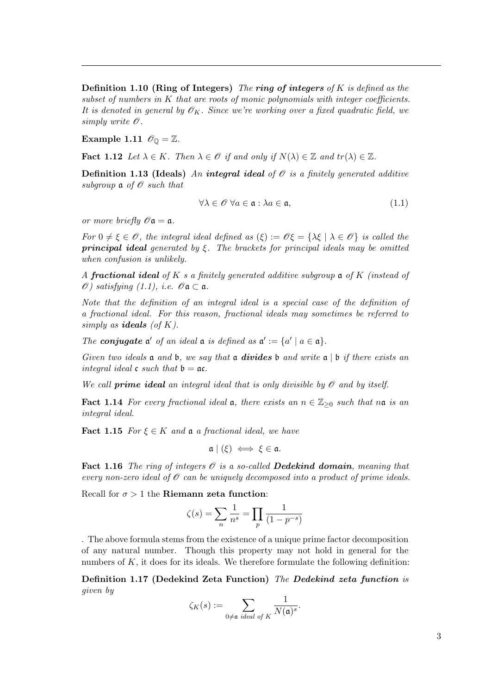**Definition 1.10 (Ring of Integers)** The ring of integers of K is defined as the subset of numbers in  $K$  that are roots of monic polynomials with integer coefficients. It is denoted in general by  $\mathscr{O}_K$ . Since we're working over a fixed quadratic field, we simply write  $\mathscr O$ .

### Example 1.11  $\mathscr{O}_{\mathbb{Q}} = \mathbb{Z}$ .

<span id="page-6-2"></span>**Fact 1.12** Let  $\lambda \in K$ . Then  $\lambda \in \mathcal{O}$  if and only if  $N(\lambda) \in \mathbb{Z}$  and  $tr(\lambda) \in \mathbb{Z}$ .

<span id="page-6-1"></span>**Definition 1.13 (Ideals)** An integral ideal of  $\mathcal{O}$  is a finitely generated additive subgroup  $a$  of  $\mathscr O$  such that

<span id="page-6-0"></span>
$$
\forall \lambda \in \mathcal{O} \,\,\forall a \in \mathfrak{a} : \lambda a \in \mathfrak{a},\tag{1.1}
$$

or more briefly  $\mathscr{O} \mathfrak{a} = \mathfrak{a}$ .

For  $0 \neq \xi \in \mathscr{O}$ , the integral ideal defined as  $(\xi) := \mathscr{O}\xi = {\lambda \xi \mid \lambda \in \mathscr{O}}\}$  is called the **principal ideal** generated by  $\xi$ . The brackets for principal ideals may be omitted when confusion is unlikely.

A fractional ideal of K s a finitely generated additive subgroup  $\mathfrak a$  of K (instead of  $\mathscr O$ ) satisfying [\(1.1\)](#page-6-0), i.e.  $\mathscr O$   $\mathfrak a \subset \mathfrak a$ .

Note that the definition of an integral ideal is a special case of the definition of a fractional ideal. For this reason, fractional ideals may sometimes be referred to simply as **ideals** (of  $K$ ).

The **conjugate**  $\mathfrak{a}'$  of an ideal  $\mathfrak{a}$  is defined as  $\mathfrak{a}' := \{a' \mid a \in \mathfrak{a}\}.$ 

Given two ideals  $\mathfrak a$  and  $\mathfrak b$ , we say that  $\mathfrak a$  divides  $\mathfrak b$  and write  $\mathfrak a$  |  $\mathfrak b$  if there exists an integral ideal  $\mathfrak c$  such that  $\mathfrak b = \mathfrak a \mathfrak c$ .

We call **prime ideal** an integral ideal that is only divisible by  $\mathcal O$  and by itself.

**Fact 1.14** For every fractional ideal  $\mathfrak{a}$ , there exists an  $n \in \mathbb{Z}_{\geq 0}$  such that no is an integral ideal.

**Fact 1.15** For  $\xi \in K$  and  $\mathfrak{a}$  a fractional ideal, we have

 $\mathfrak{a} \mid (\xi) \iff \xi \in \mathfrak{a}.$ 

Fact 1.16 The ring of integers  $\mathcal O$  is a so-called Dedekind domain, meaning that every non-zero ideal of  $\mathcal O$  can be uniquely decomposed into a product of prime ideals.

Recall for  $\sigma > 1$  the **Riemann zeta function**:

$$
\zeta(s) = \sum_{n} \frac{1}{n^s} = \prod_{p} \frac{1}{(1 - p^{-s})}
$$

. The above formula stems from the existence of a unique prime factor decomposition of any natural number. Though this property may not hold in general for the numbers of  $K$ , it does for its ideals. We therefore formulate the following definition:

Definition 1.17 (Dedekind Zeta Function) The Dedekind zeta function is given by

$$
\zeta_K(s) := \sum_{0 \neq \mathfrak{a} \text{ ideal of } K} \frac{1}{N(\mathfrak{a})^s}.
$$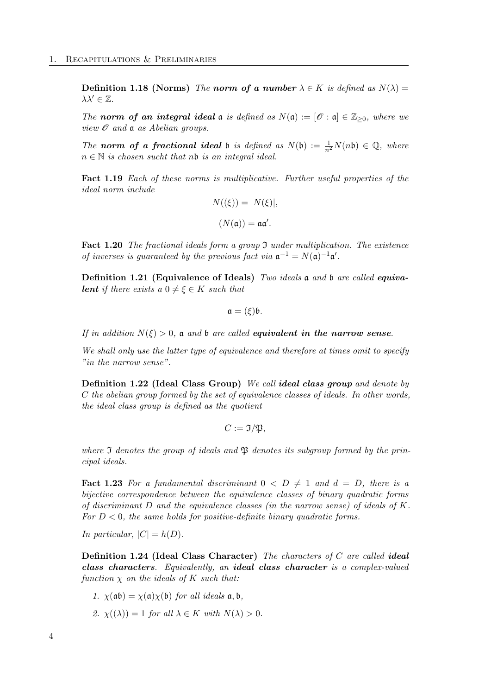**Definition 1.18 (Norms)** The norm of a number  $\lambda \in K$  is defined as  $N(\lambda) =$  $\lambda \lambda' \in \mathbb{Z}$ .

The norm of an integral ideal  $\mathfrak a$  is defined as  $N(\mathfrak a) := [\mathscr O : \mathfrak a] \in \mathbb{Z}_{\geq 0}$ , where we view  $\mathscr O$  and  $\mathfrak a$  as Abelian groups.

The norm of a fractional ideal b is defined as  $N(\mathfrak{b}) := \frac{1}{n^2} N(n\mathfrak{b}) \in \mathbb{Q}$ , where  $n \in \mathbb{N}$  is chosen sucht that nb is an integral ideal.

<span id="page-7-1"></span>Fact 1.19 Each of these norms is multiplicative. Further useful properties of the ideal norm include

$$
N((\xi)) = |N(\xi)|,
$$
  

$$
(N(\mathfrak{a})) = \mathfrak{a}\mathfrak{a}'.
$$

Fact 1.20 The fractional ideals form a group  $\mathfrak I$  under multiplication. The existence of inverses is guaranteed by the previous fact via  $\mathfrak{a}^{-1} = N(\mathfrak{a})^{-1} \mathfrak{a}'$ .

Definition 1.21 (Equivalence of Ideals) Two ideals a and b are called equiva**lent** if there exists a  $0 \neq \xi \in K$  such that

$$
\mathfrak{a}=(\xi)\mathfrak{b}.
$$

If in addition  $N(\xi) > 0$ , a and b are called **equivalent in the narrow sense.** 

We shall only use the latter type of equivalence and therefore at times omit to specify "in the narrow sense".

Definition 1.22 (Ideal Class Group) We call ideal class group and denote by C the abelian group formed by the set of equivalence classes of ideals. In other words, the ideal class group is defined as the quotient

$$
C:=\mathfrak{I}/\mathfrak{P},
$$

where  $\mathfrak I$  denotes the group of ideals and  $\mathfrak P$  denotes its subgroup formed by the principal ideals.

<span id="page-7-0"></span>**Fact 1.23** For a fundamental discriminant  $0 < D \neq 1$  and  $d = D$ , there is a bijective correspondence between the equivalence classes of binary quadratic forms of discriminant D and the equivalence classes (in the narrow sense) of ideals of K. For  $D < 0$ , the same holds for positive-definite binary quadratic forms.

In particular,  $|C| = h(D)$ .

Definition 1.24 (Ideal Class Character) The characters of  $C$  are called ideal class characters. Equivalently, an ideal class character is a complex-valued function  $\chi$  on the ideals of K such that:

1. 
$$
\chi(\mathfrak{ab}) = \chi(\mathfrak{a})\chi(\mathfrak{b})
$$
 for all ideals  $\mathfrak{a}, \mathfrak{b}$ ,

2.  $\chi(\lambda) = 1$  for all  $\lambda \in K$  with  $N(\lambda) > 0$ .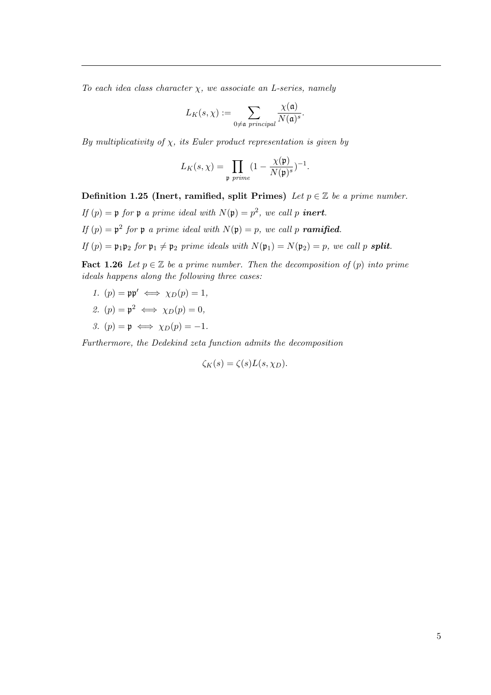To each idea class character  $\chi$ , we associate an L-series, namely

$$
L_K(s,\chi):=\sum_{0\neq \mathfrak{a}\text{ principal}}\frac{\chi(\mathfrak{a})}{N(\mathfrak{a})^s}.
$$

By multiplicativity of  $\chi$ , its Euler product representation is given by

$$
L_K(s,\chi) = \prod_{\mathfrak{p} \text{ prime}} (1 - \frac{\chi(\mathfrak{p})}{N(\mathfrak{p})^s})^{-1}.
$$

Definition 1.25 (Inert, ramified, split Primes) Let  $p \in \mathbb{Z}$  be a prime number.

- If  $(p) = \mathfrak{p}$  for  $\mathfrak{p}$  a prime ideal with  $N(\mathfrak{p}) = p^2$ , we call p **inert**.
- If  $(p) = \mathfrak{p}^2$  for  $\mathfrak{p}$  a prime ideal with  $N(\mathfrak{p}) = p$ , we call p **ramified**.
- If  $(p) = \mathfrak{p}_1 \mathfrak{p}_2$  for  $\mathfrak{p}_1 \neq \mathfrak{p}_2$  prime ideals with  $N(\mathfrak{p}_1) = N(\mathfrak{p}_2) = p$ , we call p **split**.

<span id="page-8-0"></span>**Fact 1.26** Let  $p \in \mathbb{Z}$  be a prime number. Then the decomposition of  $(p)$  into prime ideals happens along the following three cases:

- 1.  $(p) = pp' \iff \chi_D(p) = 1$ ,
- 2.  $(p) = \mathfrak{p}^2 \iff \chi_D(p) = 0,$
- 3.  $(p) = p \iff \chi_D(p) = -1$ .

Furthermore, the Dedekind zeta function admits the decomposition

 $\zeta_K(s) = \zeta(s)L(s,\chi_D).$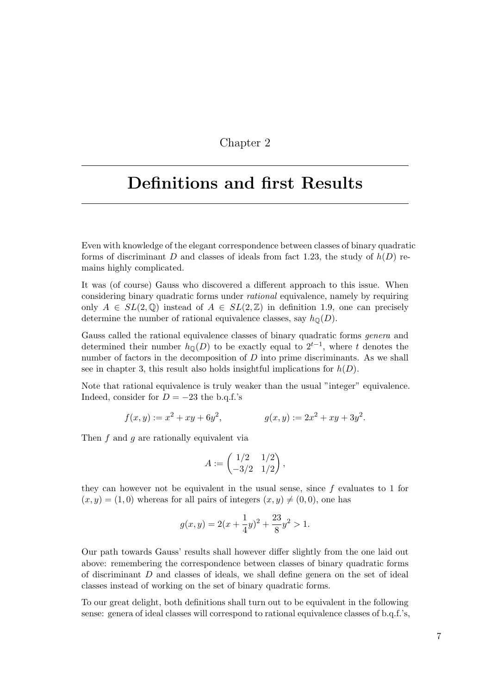### Chapter 2

# <span id="page-10-0"></span>Definitions and first Results

Even with knowledge of the elegant correspondence between classes of binary quadratic forms of discriminant D and classes of ideals from fact [1.23,](#page-7-0) the study of  $h(D)$  remains highly complicated.

It was (of course) Gauss who discovered a different approach to this issue. When considering binary quadratic forms under *rational* equivalence, namely by requiring only  $A \in SL(2,\mathbb{Q})$  instead of  $A \in SL(2,\mathbb{Z})$  in definition [1.9,](#page-5-0) one can precisely determine the number of rational equivalence classes, say  $h_{\mathbb{Q}}(D)$ .

Gauss called the rational equivalence classes of binary quadratic forms genera and determined their number  $h_{\mathbb{Q}}(D)$  to be exactly equal to  $2^{t-1}$ , where t denotes the number of factors in the decomposition of  $D$  into prime discriminants. As we shall see in chapter [3,](#page-18-0) this result also holds insightful implications for  $h(D)$ .

Note that rational equivalence is truly weaker than the usual "integer" equivalence. Indeed, consider for  $D = -23$  the b.q.f.'s

$$
f(x, y) := x^2 + xy + 6y^2, \qquad g(x, y) := 2x^2 + xy + 3y^2.
$$

Then  $f$  and  $q$  are rationally equivalent via

$$
A := \begin{pmatrix} 1/2 & 1/2 \\ -3/2 & 1/2 \end{pmatrix},
$$

they can however not be equivalent in the usual sense, since f evaluates to 1 for  $(x, y) = (1, 0)$  whereas for all pairs of integers  $(x, y) \neq (0, 0)$ , one has

$$
g(x,y) = 2\left(x + \frac{1}{4}y\right)^2 + \frac{23}{8}y^2 > 1.
$$

Our path towards Gauss' results shall however differ slightly from the one laid out above: remembering the correspondence between classes of binary quadratic forms of discriminant D and classes of ideals, we shall define genera on the set of ideal classes instead of working on the set of binary quadratic forms.

To our great delight, both definitions shall turn out to be equivalent in the following sense: genera of ideal classes will correspond to rational equivalence classes of b.q.f.'s,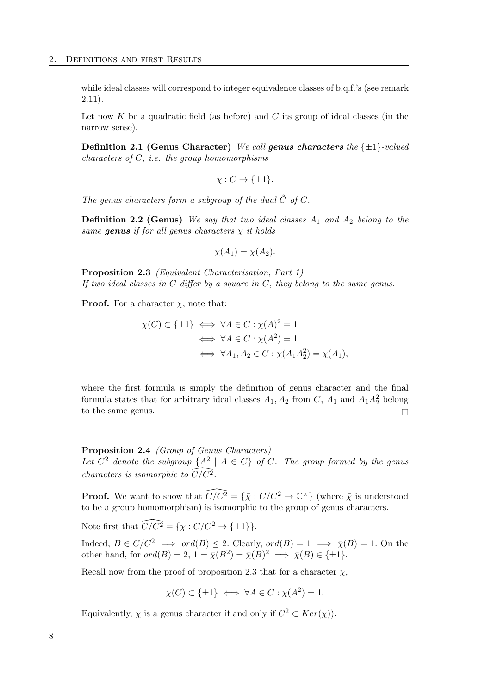while ideal classes will correspond to integer equivalence classes of b.q.f.'s (see remark [2.11\)](#page-15-0).

Let now  $K$  be a quadratic field (as before) and  $C$  its group of ideal classes (in the narrow sense).

**Definition 2.1 (Genus Character)** We call **genus characters** the  $\{\pm 1\}$ -valued characters of  $C$ , i.e. the group homomorphisms

$$
\chi: C \to \{\pm 1\}.
$$

The genus characters form a subgroup of the dual  $\hat{C}$  of C.

**Definition 2.2 (Genus)** We say that two ideal classes  $A_1$  and  $A_2$  belong to the same genus if for all genus characters  $\chi$  it holds

$$
\chi(A_1) = \chi(A_2).
$$

<span id="page-11-0"></span>Proposition 2.3 (Equivalent Characterisation, Part 1) If two ideal classes in  $C$  differ by a square in  $C$ , they belong to the same genus.

**Proof.** For a character  $\chi$ , note that:

$$
\chi(C) \subset \{\pm 1\} \iff \forall A \in C : \chi(A)^2 = 1
$$
  

$$
\iff \forall A \in C : \chi(A^2) = 1
$$
  

$$
\iff \forall A_1, A_2 \in C : \chi(A_1 A_2^2) = \chi(A_1),
$$

where the first formula is simply the definition of genus character and the final formula states that for arbitrary ideal classes  $A_1$ ,  $A_2$  from C,  $A_1$  and  $A_1A_2^2$  belong to the same genus.  $\Box$ 

Proposition 2.4 (Group of Genus Characters) Let  $C^2$  denote the subgroup  $\{A^2 \mid A \in C\}$  of C. The group formed by the genus characters is isomorphic to  $\widehat{C}/\widehat{C^2}$ .

**Proof.** We want to show that  $\widehat{C/C^2} = {\{\overline{\chi}: C/C^2 \to \mathbb{C}^\times\}}$  (where  $\overline{\chi}$  is understood to be a group homomorphism) is isomorphic to the group of genus characters.

Note first that  $\widehat{C/C^2} = {\bar{\chi}: C/C^2 \to {\pm 1}}.$ 

Indeed,  $B \in C/C^2 \implies ord(B) \leq 2$ . Clearly,  $ord(B) = 1 \implies \overline{\chi}(B) = 1$ . On the other hand, for  $ord(B) = 2$ ,  $1 = \overline{\chi}(B^2) = \overline{\chi}(B)^2 \implies \overline{\chi}(B) \in {\pm 1}.$ 

Recall now from the proof of proposition [2.3](#page-11-0) that for a character  $\chi$ ,

$$
\chi(C) \subset \{\pm 1\} \iff \forall A \in C : \chi(A^2) = 1.
$$

Equivalently,  $\chi$  is a genus character if and only if  $C^2 \subset Ker(\chi)$ .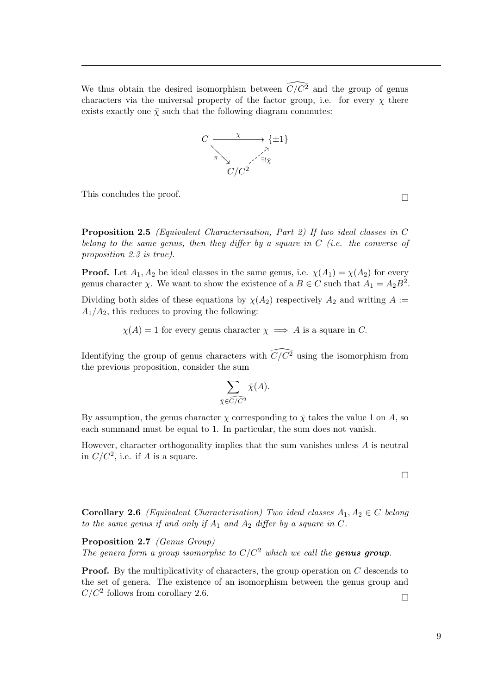We thus obtain the desired isomorphism between  $\widehat{C/C^2}$  and the group of genus characters via the universal property of the factor group, i.e. for every  $\chi$  there exists exactly one  $\bar{\chi}$  such that the following diagram commutes:



This concludes the proof.  $\hfill \Box$ 

Proposition 2.5 (Equivalent Characterisation, Part 2) If two ideal classes in C belong to the same genus, then they differ by a square in  $C$  (i.e. the converse of proposition [2.3](#page-11-0) is true).

**Proof.** Let  $A_1, A_2$  be ideal classes in the same genus, i.e.  $\chi(A_1) = \chi(A_2)$  for every genus character  $\chi$ . We want to show the existence of a  $B \in C$  such that  $A_1 = A_2 B^2$ .

Dividing both sides of these equations by  $\chi(A_2)$  respectively  $A_2$  and writing  $A :=$  $A_1/A_2$ , this reduces to proving the following:

 $\chi(A) = 1$  for every genus character  $\chi \implies A$  is a square in C.

Identifying the group of genus characters with  $\widehat{C}/\widehat{C}^2$  using the isomorphism from the previous proposition, consider the sum

$$
\sum_{\bar{\chi} \in \widehat{C/C^2}} \bar{\chi}(A).
$$

By assumption, the genus character  $\chi$  corresponding to  $\bar{\chi}$  takes the value 1 on A, so each summand must be equal to 1. In particular, the sum does not vanish.

However, character orthogonality implies that the sum vanishes unless  $A$  is neutral in  $C/C^2$ , i.e. if A is a square.

<span id="page-12-0"></span>Corollary 2.6 (Equivalent Characterisation) Two ideal classes  $A_1, A_2 \in C$  belong to the same genus if and only if  $A_1$  and  $A_2$  differ by a square in C.

Proposition 2.7 (Genus Group)

The genera form a group isomorphic to  $C/C^2$  which we call the **genus group**.

**Proof.** By the multiplicativity of characters, the group operation on  $C$  descends to the set of genera. The existence of an isomorphism between the genus group and  $C/C^2$  follows from corollary [2.6.](#page-12-0)

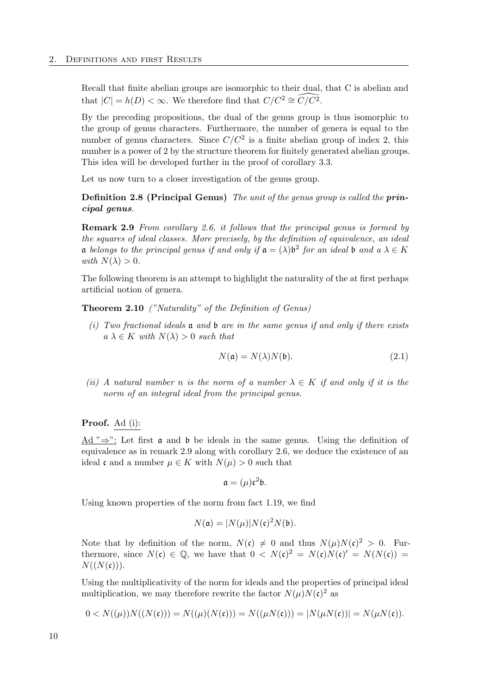Recall that finite abelian groups are isomorphic to their dual, that C is abelian and that  $|C| = h(D) < \infty$ . We therefore find that  $C/C^2 \cong \widehat{C/C^2}$ .

By the preceding propositions, the dual of the genus group is thus isomorphic to the group of genus characters. Furthermore, the number of genera is equal to the number of genus characters. Since  $C/C^2$  is a finite abelian group of index 2, this number is a power of 2 by the structure theorem for finitely generated abelian groups. This idea will be developed further in the proof of corollary [3.3.](#page-18-1)

Let us now turn to a closer investigation of the genus group.

**Definition 2.8 (Principal Genus)** The unit of the genus group is called the **prin**cipal genus.

<span id="page-13-1"></span>Remark 2.9 From corollary [2.6,](#page-12-0) it follows that the principal genus is formed by the squares of ideal classes. More precisely, by the definition of equivalence, an ideal **a** belongs to the principal genus if and only if  $a = (\lambda)b^2$  for an ideal b and  $a \lambda \in K$ with  $N(\lambda) > 0$ .

The following theorem is an attempt to highlight the naturality of the at first perhaps artificial notion of genera.

<span id="page-13-4"></span><span id="page-13-0"></span>Theorem 2.10 ("Naturality" of the Definition of Genus)

(i) Two fractional ideals  $\mathfrak a$  and  $\mathfrak b$  are in the same genus if and only if there exists  $a \lambda \in K$  with  $N(\lambda) > 0$  such that

<span id="page-13-2"></span>
$$
N(\mathfrak{a}) = N(\lambda)N(\mathfrak{b}).\tag{2.1}
$$

<span id="page-13-3"></span>(ii) A natural number n is the norm of a number  $\lambda \in K$  if and only if it is the norm of an integral ideal from the principal genus.

#### Proof. Ad [\(i\)](#page-13-0):

Ad " $\Rightarrow$ ": Let first a and b be ideals in the same genus. Using the definition of equivalence as in remark [2.9](#page-13-1) along with corollary [2.6,](#page-12-0) we deduce the existence of an ideal c and a number  $\mu \in K$  with  $N(\mu) > 0$  such that

$$
\mathfrak{a}=(\mu)\mathfrak{c}^2\mathfrak{b}.
$$

Using known properties of the norm from fact [1.19,](#page-7-1) we find

$$
N(\mathfrak{a}) = |N(\mu)| N(\mathfrak{c})^2 N(\mathfrak{b}).
$$

Note that by definition of the norm,  $N(c) \neq 0$  and thus  $N(\mu)N(c)^2 > 0$ . Furthermore, since  $N(\mathfrak{c}) \in \mathbb{Q}$ , we have that  $0 \langle N(\mathfrak{c})^2 \rangle = N(\mathfrak{c})N(\mathfrak{c})^2 = N(N(\mathfrak{c})) = N(N(\mathfrak{c}))$  $N((N(\mathfrak{c}))).$ 

Using the multiplicativity of the norm for ideals and the properties of principal ideal multiplication, we may therefore rewrite the factor  $N(\mu)N(\mathfrak{c})^2$  as

$$
0 < N(\mu)N(\Lambda(\mathbf{c})) = N(\mu)(N(\mathbf{c})) = N(\mu N(\mathbf{c})) = |N(\mu N(\mathbf{c}))| = N(\mu N(\mathbf{c}))
$$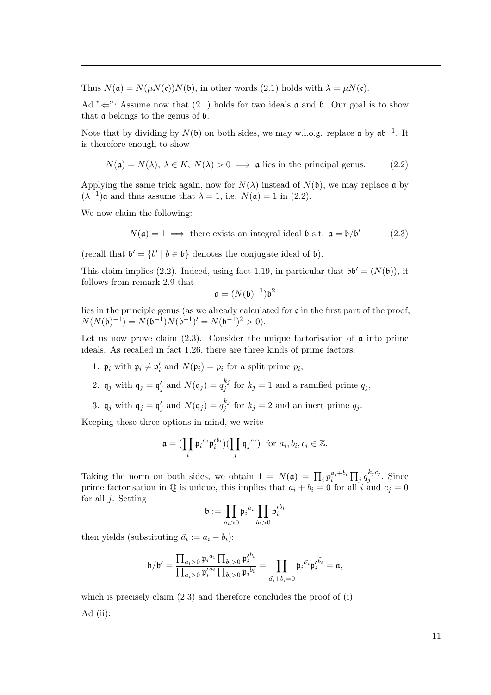Thus  $N(\mathfrak{a}) = N(\mu N(\mathfrak{c}))N(\mathfrak{b})$ , in other words [\(2.1\)](#page-13-2) holds with  $\lambda = \mu N(\mathfrak{c})$ .

Ad " $\Leftarrow$ ": Assume now that [\(2.1\)](#page-13-2) holds for two ideals **a** and **b**. Our goal is to show that a belongs to the genus of b.

Note that by dividing by  $N(\mathfrak{b})$  on both sides, we may w.l.o.g. replace  $\mathfrak{a}$  by  $\mathfrak{a}\mathfrak{b}^{-1}$ . It is therefore enough to show

<span id="page-14-0"></span>
$$
N(\mathfrak{a}) = N(\lambda), \ \lambda \in K, \ N(\lambda) > 0 \implies \mathfrak{a} \text{ lies in the principal genus.} \tag{2.2}
$$

Applying the same trick again, now for  $N(\lambda)$  instead of  $N(\mathfrak{b})$ , we may replace a by  $(\lambda^{-1})$ **a** and thus assume that  $\lambda = 1$ , i.e.  $N(\mathfrak{a}) = 1$  in [\(2.2\)](#page-14-0).

We now claim the following:

<span id="page-14-1"></span>
$$
N(\mathfrak{a}) = 1 \implies
$$
 there exists an integral ideal  $\mathfrak{b}$  s.t.  $\mathfrak{a} = \mathfrak{b}/\mathfrak{b}'$  (2.3)

(recall that  $\mathfrak{b}' = \{b' \mid b \in \mathfrak{b}\}\)$  denotes the conjugate ideal of  $\mathfrak{b}$ ).

This claim implies [\(2.2\)](#page-14-0). Indeed, using fact [1.19,](#page-7-1) in particular that  $\mathfrak{bb}' = (N(\mathfrak{b}))$ , it follows from remark [2.9](#page-13-1) that

$$
\mathfrak{a}=(N(\mathfrak{b})^{-1})\mathfrak{b}^2
$$

lies in the principle genus (as we already calculated for  $\mathfrak c$  in the first part of the proof,  $N(N(\mathfrak{b})^{-1}) = N(\mathfrak{b}^{-1})N(\mathfrak{b}^{-1})' = N(\mathfrak{b}^{-1})^2 > 0.$ 

Let us now prove claim  $(2.3)$ . Consider the unique factorisation of  $\alpha$  into prime ideals. As recalled in fact [1.26,](#page-8-0) there are three kinds of prime factors:

- 1.  $\mathfrak{p}_i$  with  $\mathfrak{p}_i \neq \mathfrak{p}'_i$  and  $N(\mathfrak{p}_i) = p_i$  for a split prime  $p_i$ ,
- 2.  $\mathfrak{q}_j$  with  $\mathfrak{q}_j = \mathfrak{q}'_j$  and  $N(\mathfrak{q}_j) = q_j^{k_j}$  $j_j^{k_j}$  for  $k_j = 1$  and a ramified prime  $q_j$ ,
- 3.  $\mathfrak{q}_j$  with  $\mathfrak{q}_j = \mathfrak{q}'_j$  and  $N(\mathfrak{q}_j) = q_j^{k_j}$  $j_j^{k_j}$  for  $k_j = 2$  and an inert prime  $q_j$ .

Keeping these three options in mind, we write

$$
\mathfrak{a} = (\prod_i \mathfrak{p}_i{}^{a_i} \mathfrak{p}_i^{\prime b_i}) (\prod_j \mathfrak{q}_j{}^{c_j}) \text{ for } a_i, b_i, c_i \in \mathbb{Z}.
$$

Taking the norm on both sides, we obtain  $1 = N(\mathfrak{a}) = \prod_i p_i^{a_i + b_i} \prod_j q_j^{k_j c_j}$  $\int_j^{\kappa_j c_j}$ . Since prime factorisation in  $\mathbb Q$  is unique, this implies that  $a_i + b_i = 0$  for all i and  $c_j = 0$ for all  $i$ . Setting

$$
\mathfrak{b} := \prod_{a_i > 0} \mathfrak{p}_i{}^{a_i} \prod_{b_i > 0} \mathfrak{p}_i'{}^{b_i}
$$

then yields (substituting  $\tilde{a}_i := a_i - b_i$ ):

$$
\mathfrak{b}/\mathfrak{b}'=\frac{\prod_{a_i>0}\mathfrak{p}_i{}^{a_i}\prod_{b_i>0}\mathfrak{p}_i'^{b_i}}{\prod_{a_i>0}\mathfrak{p}_i'^{a_i}\prod_{b_i>0}\mathfrak{p}_i{}^{b_i}}=\prod_{\tilde{a_i}+\tilde{b_i}=0}\mathfrak{p}_i{}^{\tilde{a_i}}\mathfrak{p}_i'^{\tilde{b_i}}=\mathfrak{a},
$$

which is precisely claim  $(2.3)$  and therefore concludes the proof of [\(i\)](#page-13-0). Ad [\(ii\)](#page-13-3):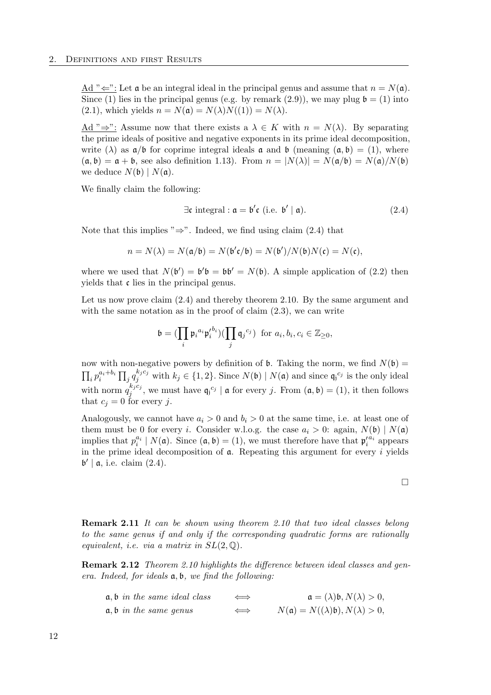Ad " $\Leftarrow$ ": Let **a** be an integral ideal in the principal genus and assume that  $n = N(\mathfrak{a})$ . Since (1) lies in the principal genus (e.g. by remark [\(2.9\)](#page-13-1)), we may plug  $\mathfrak{b} = (1)$  into  $(2.1)$ , which yields  $n = N(\mathfrak{a}) = N(\lambda)N((1)) = N(\lambda)$ .

Ad " $\Rightarrow$ ": Assume now that there exists a  $\lambda \in K$  with  $n = N(\lambda)$ . By separating the prime ideals of positive and negative exponents in its prime ideal decomposition, write ( $\lambda$ ) as  $\mathfrak{a}/\mathfrak{b}$  for coprime integral ideals  $\mathfrak{a}$  and  $\mathfrak{b}$  (meaning  $(\mathfrak{a}, \mathfrak{b}) = (1)$ , where  $(a, b) = a + b$ , see also definition [1.13\)](#page-6-1). From  $n = |N(\lambda)| = N(a/b) = N(a)/N(b)$ we deduce  $N(\mathfrak{b}) | N(\mathfrak{a})$ .

We finally claim the following:

<span id="page-15-1"></span>
$$
\exists \mathfrak{c} \text{ integral} : \mathfrak{a} = \mathfrak{b}' \mathfrak{c} \text{ (i.e. } \mathfrak{b}' \mid \mathfrak{a}). \tag{2.4}
$$

Note that this implies " $\Rightarrow$ ". Indeed, we find using claim [\(2.4\)](#page-15-1) that

$$
n = N(\lambda) = N(\mathfrak{a}/\mathfrak{b}) = N(\mathfrak{b}'\mathfrak{c}/\mathfrak{b}) = N(\mathfrak{b}')/N(\mathfrak{b})N(\mathfrak{c}) = N(\mathfrak{c}),
$$

where we used that  $N(\mathfrak{b}') = \mathfrak{b}'\mathfrak{b} = \mathfrak{b}\mathfrak{b}' = N(\mathfrak{b})$ . A simple application of [\(2.2\)](#page-14-0) then yields that c lies in the principal genus.

Let us now prove claim  $(2.4)$  and thereby theorem [2.10.](#page-13-4) By the same argument and with the same notation as in the proof of claim  $(2.3)$ , we can write

$$
\mathfrak{b} = (\prod_i \mathfrak{p}_i{}^{a_i} \mathfrak{p}_i^{\prime b_i}) (\prod_j \mathfrak{q}_j{}^{c_j}) \text{ for } a_i, b_i, c_i \in \mathbb{Z}_{\geq 0},
$$

now with non-negative powers by definition of **b**. Taking the norm, we find  $N(\mathfrak{b}) =$  $\prod_i p_i^{a_i+b_i} \prod_j q_j^{k_jc_j}$  with  $k_j \in \{1,2\}$ . Since  $N(\mathfrak{b}) \mid N(\mathfrak{a})$  and since  $\mathfrak{q}_j^{c_j}$  is the only ideal with norm  $q_i^{k_j c_j}$  $j_j^{k_j c_j}$ , we must have  $\mathfrak{q}_j^{c_j} \mid \mathfrak{a}$  for every j. From  $(\mathfrak{a}, \mathfrak{b}) = (1)$ , it then follows that  $c_j = 0$  for every j.

Analogously, we cannot have  $a_i > 0$  and  $b_i > 0$  at the same time, i.e. at least one of them must be 0 for every *i*. Consider w.l.o.g. the case  $a_i > 0$ : again,  $N(\mathfrak{b}) | N(\mathfrak{a})$ implies that  $p_i^{a_i} \mid N(\mathfrak{a})$ . Since  $(\mathfrak{a}, \mathfrak{b}) = (1)$ , we must therefore have that  $\mathfrak{p}_i'^{a_i}$  appears in the prime ideal decomposition of  $a$ . Repeating this argument for every i yields  $\mathfrak{b}' \mid \mathfrak{a},$  i.e. claim  $(2.4)$ .

<span id="page-15-0"></span>Remark 2.11 It can be shown using theorem [2.10](#page-13-4) that two ideal classes belong to the same genus if and only if the corresponding quadratic forms are rationally equivalent, i.e. via a matrix in  $SL(2,\mathbb{Q})$ .

**Remark 2.12** Theorem [2.10](#page-13-4) highlights the difference between ideal classes and genera. Indeed, for ideals a, b, we find the following:

| $a, b$ in the same ideal class | $\iff$ | $\mathfrak{a} = (\lambda) \mathfrak{b}, N(\lambda) > 0,$      |
|--------------------------------|--------|---------------------------------------------------------------|
| $a, b$ in the same genus       | $\iff$ | $N(\mathfrak{a}) = N((\lambda)\mathfrak{b}), N(\lambda) > 0,$ |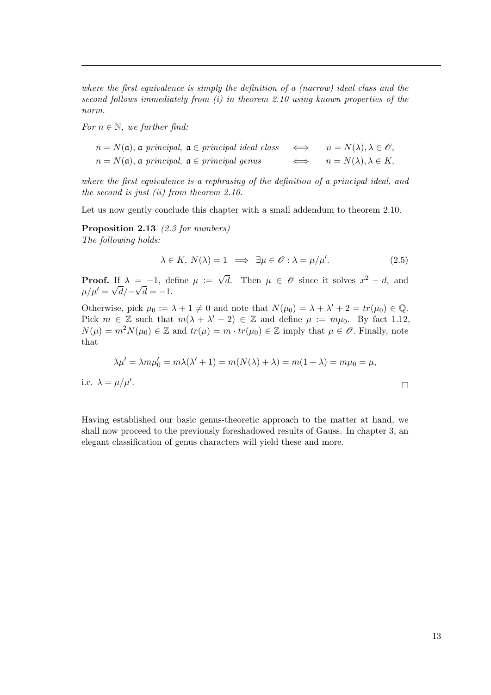where the first equivalence is simply the definition of a (narrow) ideal class and the second follows immediately from [\(i\)](#page-13-0) in theorem [2.10](#page-13-4) using known properties of the norm.

For  $n \in \mathbb{N}$ , we further find:

 $n = N(\mathfrak{a})$ ,  $\mathfrak{a}$  principal,  $\mathfrak{a} \in principal$  ideal class  $\iff n = N(\lambda), \lambda \in \mathcal{O}$ ,  $n = N(\mathfrak{a}), \mathfrak{a}$  principal,  $\mathfrak{a} \in principal$  genus  $n = N(\lambda), \lambda \in K$ ,

where the first equivalence is a rephrasing of the definition of a principal ideal, and the second is just [\(ii\)](#page-13-3) from theorem [2.10.](#page-13-4)

Let us now gently conclude this chapter with a small addendum to theorem [2.10.](#page-13-4)

Proposition 2.13 [\(2.3](#page-14-1) for numbers) The following holds:

<span id="page-16-0"></span>
$$
\lambda \in K, N(\lambda) = 1 \implies \exists \mu \in \mathcal{O} : \lambda = \mu/\mu'. \tag{2.5}
$$

**Proof.** If  $\lambda = -1$ , define  $\mu := \sqrt{d}$ . Then  $\mu \in \mathscr{O}$  since it solves  $x^2 - d$ , and  $\mu/\mu'=\sqrt{d}/-\sqrt{d}=-1.$ 

Otherwise, pick  $\mu_0 := \lambda + 1 \neq 0$  and note that  $N(\mu_0) = \lambda + \lambda' + 2 = tr(\mu_0) \in \mathbb{Q}$ . Pick  $m \in \mathbb{Z}$  such that  $m(\lambda + \lambda' + 2) \in \mathbb{Z}$  and define  $\mu := m\mu_0$ . By fact [1.12,](#page-6-2)  $N(\mu) = m^2 N(\mu_0) \in \mathbb{Z}$  and  $tr(\mu) = m \cdot tr(\mu_0) \in \mathbb{Z}$  imply that  $\mu \in \mathcal{O}$ . Finally, note that

$$
\lambda \mu' = \lambda m \mu'_0 = m \lambda (\lambda' + 1) = m(N(\lambda) + \lambda) = m(1 + \lambda) = m\mu_0 = \mu,
$$
  
i.e. 
$$
\lambda = \mu/\mu'.
$$

Having established our basic genus-theoretic approach to the matter at hand, we shall now proceed to the previously foreshadowed results of Gauss. In chapter [3,](#page-18-0) an

elegant classification of genus characters will yield these and more.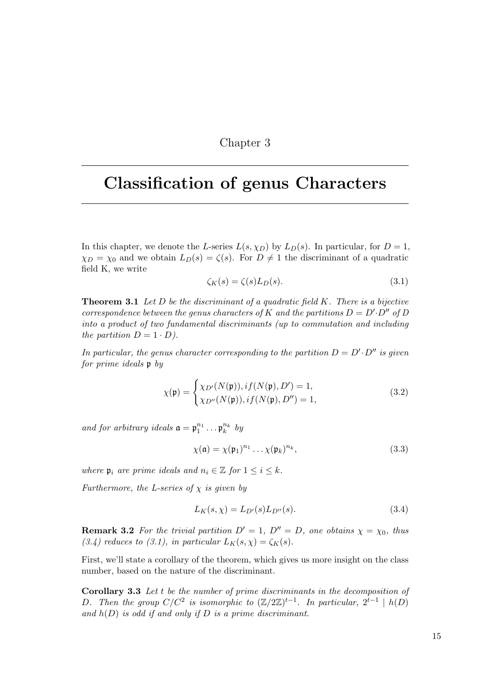### Chapter 3

## <span id="page-18-0"></span>Classification of genus Characters

In this chapter, we denote the L-series  $L(s, \chi_D)$  by  $L_D(s)$ . In particular, for  $D = 1$ ,  $\chi_D = \chi_0$  and we obtain  $L_D(s) = \zeta(s)$ . For  $D \neq 1$  the discriminant of a quadratic field K, we write

<span id="page-18-3"></span>
$$
\zeta_K(s) = \zeta(s)L_D(s). \tag{3.1}
$$

<span id="page-18-4"></span>**Theorem 3.1** Let  $D$  be the discriminant of a quadratic field  $K$ . There is a bijective correspondence between the genus characters of K and the partitions  $D = D' \cdot D''$  of D into a product of two fundamental discriminants (up to commutation and including the partition  $D = 1 \cdot D$ ).

In particular, the genus character corresponding to the partition  $D = D' \cdot D''$  is given for prime ideals p by

<span id="page-18-5"></span>
$$
\chi(\mathfrak{p}) = \begin{cases} \chi_{D'}(N(\mathfrak{p})), if (N(\mathfrak{p}), D') = 1, \\ \chi_{D''}(N(\mathfrak{p})), if (N(\mathfrak{p}), D'') = 1, \end{cases}
$$
(3.2)

and for arbitrary ideals  $\mathfrak{a} = \mathfrak{p}_1^{n_1} \dots \mathfrak{p}_k^{n_k}$  by

<span id="page-18-6"></span>
$$
\chi(\mathfrak{a}) = \chi(\mathfrak{p}_1)^{n_1} \dots \chi(\mathfrak{p}_k)^{n_k},\tag{3.3}
$$

where  $\mathfrak{p}_i$  are prime ideals and  $n_i \in \mathbb{Z}$  for  $1 \leq i \leq k$ .

Furthermore, the L-series of  $\chi$  is given by

<span id="page-18-2"></span><span id="page-18-1"></span>
$$
L_K(s, \chi) = L_{D'}(s)L_{D''}(s). \tag{3.4}
$$

**Remark 3.2** For the trivial partition  $D' = 1$ ,  $D'' = D$ , one obtains  $\chi = \chi_0$ , thus [\(3.4\)](#page-18-2) reduces to [\(3.1\)](#page-18-3), in particular  $L_K(s, \chi) = \zeta_K(s)$ .

First, we'll state a corollary of the theorem, which gives us more insight on the class number, based on the nature of the discriminant.

Corollary 3.3 Let t be the number of prime discriminants in the decomposition of D. Then the group  $C/C^2$  is isomorphic to  $(\mathbb{Z}/2\mathbb{Z})^{t-1}$ . In particular,  $2^{t-1} \mid h(D)$ and  $h(D)$  is odd if and only if D is a prime discriminant.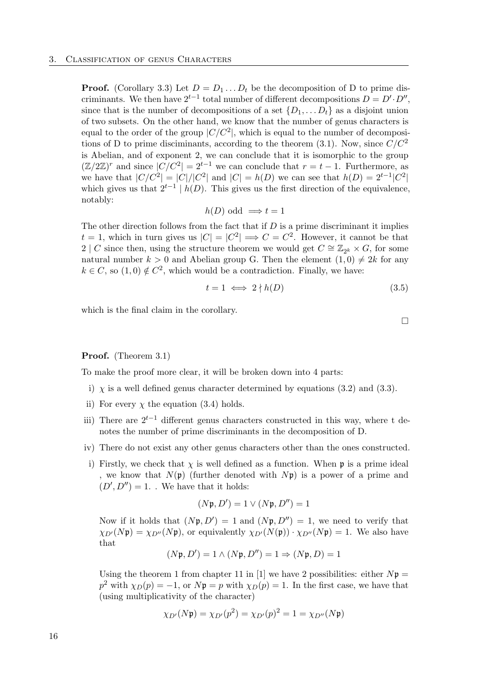**Proof.** (Corollary [3.3\)](#page-18-1) Let  $D = D_1 \dots D_t$  be the decomposition of D to prime discriminants. We then have  $2^{t-1}$  total number of different decompositions  $D = D' \cdot D''$ , since that is the number of decompositions of a set  $\{D_1, \ldots, D_t\}$  as a disjoint union of two subsets. On the other hand, we know that the number of genus characters is equal to the order of the group  $|C/C^2|$ , which is equal to the number of decomposi-tions of D to prime disciminants, according to the theorem [\(3.1\)](#page-18-4). Now, since  $C/C^2$ is Abelian, and of exponent 2, we can conclude that it is isomorphic to the group  $(\mathbb{Z}/2\mathbb{Z})^r$  and since  $|C/C^2| = 2^{t-1}$  we can conclude that  $r = t - 1$ . Furthermore, as we have that  $|C/C^2| = |C|/|C^2|$  and  $|C| = h(D)$  we can see that  $h(D) = 2^{t-1}|C^2|$ which gives us that  $2^{t-1}$  |  $h(D)$ . This gives us the first direction of the equivalence, notably:

$$
h(D) \text{ odd } \Longrightarrow t = 1
$$

The other direction follows from the fact that if  $D$  is a prime discriminant it implies  $t = 1$ , which in turn gives us  $|C| = |C^2| \Longrightarrow C = C^2$ . However, it cannot be that 2 | C since then, using the structure theorem we would get  $C \cong \mathbb{Z}_{2^k} \times G$ , for some natural number  $k > 0$  and Abelian group G. Then the element  $(1,0) \neq 2k$  for any  $k \in C$ , so  $(1,0) \notin C^2$ , which would be a contradiction. Finally, we have:

$$
t = 1 \iff 2 \nmid h(D) \tag{3.5}
$$

which is the final claim in the corollary.

$$
\Box
$$

#### Proof. (Theorem [3.1\)](#page-18-4)

To make the proof more clear, it will be broken down into 4 parts:

- i)  $\chi$  is a well defined genus character determined by equations [\(3.2\)](#page-18-5) and [\(3.3\)](#page-18-6).
- ii) For every  $\chi$  the equation [\(3.4\)](#page-18-2) holds.
- iii) There are  $2^{t-1}$  different genus characters constructed in this way, where t denotes the number of prime discriminants in the decomposition of D.
- iv) There do not exist any other genus characters other than the ones constructed.
- i) Firstly, we check that  $\chi$  is well defined as a function. When  $\mathfrak p$  is a prime ideal , we know that  $N(\mathfrak{p})$  (further denoted with  $N\mathfrak{p}$ ) is a power of a prime and  $(D', D'') = 1.$  We have that it holds:

$$
(N\mathfrak{p}, D') = 1 \vee (N\mathfrak{p}, D'') = 1
$$

Now if it holds that  $(Np, D') = 1$  and  $(Np, D'') = 1$ , we need to verify that  $\chi_{D'}(N\mathfrak{p}) = \chi_{D''}(N\mathfrak{p})$ , or equivalently  $\chi_{D'}(N(\mathfrak{p})) \cdot \chi_{D''}(N\mathfrak{p}) = 1$ . We also have that

$$
(N\mathfrak{p}, D') = 1 \land (N\mathfrak{p}, D'') = 1 \Rightarrow (N\mathfrak{p}, D) = 1
$$

Using the theorem 1 from chapter 11 in [\[1\]](#page-28-1) we have 2 possibilities: either  $N\mathfrak{p} =$  $p^2$  with  $\chi_D(p) = -1$ , or  $Np = p$  with  $\chi_D(p) = 1$ . In the first case, we have that (using multiplicativity of the character)

$$
\chi_{D'}(N\mathfrak{p}) = \chi_{D'}(p^2) = \chi_{D'}(p)^2 = 1 = \chi_{D''}(N\mathfrak{p})
$$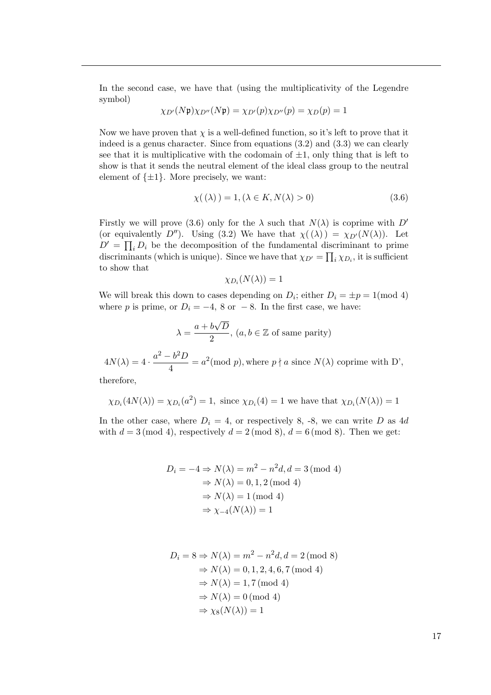In the second case, we have that (using the multiplicativity of the Legendre symbol)

$$
\chi_{D'}(N\mathfrak{p})\chi_{D''}(N\mathfrak{p}) = \chi_{D'}(p)\chi_{D''}(p) = \chi_D(p) = 1
$$

Now we have proven that  $\chi$  is a well-defined function, so it's left to prove that it indeed is a genus character. Since from equations [\(3.2\)](#page-18-5) and [\(3.3\)](#page-18-6) we can clearly see that it is multiplicative with the codomain of  $\pm 1$ , only thing that is left to show is that it sends the neutral element of the ideal class group to the neutral element of  $\{\pm 1\}$ . More precisely, we want:

<span id="page-20-0"></span>
$$
\chi(\lambda) = 1, (\lambda \in K, N(\lambda) > 0)
$$
\n(3.6)

Firstly we will prove [\(3.6\)](#page-20-0) only for the  $\lambda$  such that  $N(\lambda)$  is coprime with D' (or equivalently D''). Using [\(3.2\)](#page-18-5) We have that  $\chi(\lambda) = \chi_{D'}(N(\lambda))$ . Let  $D' = \prod_i D_i$  be the decomposition of the fundamental discriminant to prime discriminants (which is unique). Since we have that  $\chi_{D'} = \prod_i \chi_{D_i}$ , it is sufficient to show that

$$
\chi_{D_i}(N(\lambda))=1
$$

We will break this down to cases depending on  $D_i$ ; either  $D_i = \pm p = 1 \pmod{4}$ where p is prime, or  $D_i = -4$ , 8 or  $-8$ . In the first case, we have:

$$
\lambda = \frac{a + b\sqrt{D}}{2}, (a, b \in \mathbb{Z} \text{ of same parity})
$$

 $4N(\lambda) = 4 \cdot \frac{a^2 - b^2 D}{4}$  $\frac{1}{4} \frac{\partial D}{\partial \mu} = a^2 \pmod{p}$ , where  $p \nmid a$  since  $N(\lambda)$  coprime with D',

therefore,

$$
\chi_{D_i}(4N(\lambda)) = \chi_{D_i}(a^2) = 1
$$
, since  $\chi_{D_i}(4) = 1$  we have that  $\chi_{D_i}(N(\lambda)) = 1$ 

In the other case, where  $D_i = 4$ , or respectively 8, -8, we can write D as 4d with  $d = 3 \pmod{4}$ , respectively  $d = 2 \pmod{8}$ ,  $d = 6 \pmod{8}$ . Then we get:

$$
D_i = -4 \Rightarrow N(\lambda) = m^2 - n^2 d, d = 3 \pmod{4}
$$

$$
\Rightarrow N(\lambda) = 0, 1, 2 \pmod{4}
$$

$$
\Rightarrow N(\lambda) = 1 \pmod{4}
$$

$$
\Rightarrow \chi_{-4}(N(\lambda)) = 1
$$

$$
D_i = 8 \Rightarrow N(\lambda) = m^2 - n^2 d, d = 2 \pmod{8}
$$
  
\n
$$
\Rightarrow N(\lambda) = 0, 1, 2, 4, 6, 7 \pmod{4}
$$
  
\n
$$
\Rightarrow N(\lambda) = 1, 7 \pmod{4}
$$
  
\n
$$
\Rightarrow N(\lambda) = 0 \pmod{4}
$$
  
\n
$$
\Rightarrow \chi_8(N(\lambda)) = 1
$$

17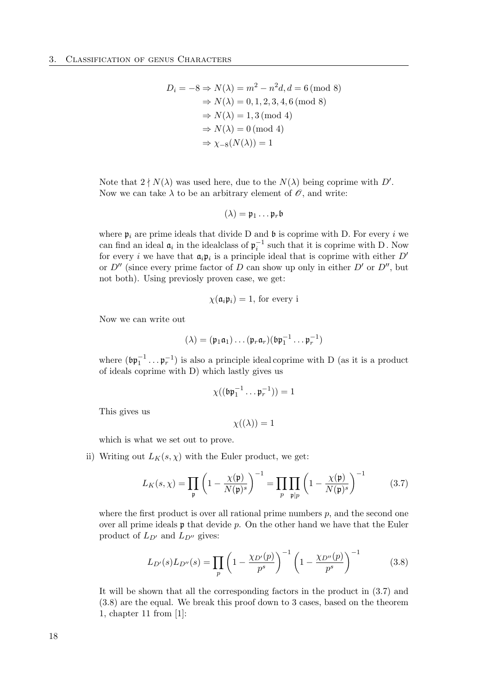$$
D_i = -8 \Rightarrow N(\lambda) = m^2 - n^2 d, d = 6 \pmod{8}
$$
  
\n
$$
\Rightarrow N(\lambda) = 0, 1, 2, 3, 4, 6 \pmod{8}
$$
  
\n
$$
\Rightarrow N(\lambda) = 1, 3 \pmod{4}
$$
  
\n
$$
\Rightarrow N(\lambda) = 0 \pmod{4}
$$
  
\n
$$
\Rightarrow \chi_{-8}(N(\lambda)) = 1
$$

Note that  $2 \nmid N(\lambda)$  was used here, due to the  $N(\lambda)$  being coprime with D'. Now we can take  $\lambda$  to be an arbitrary element of  $\mathscr O$ , and write:

$$
(\lambda) = \mathfrak{p}_1 \dots \mathfrak{p}_r \mathfrak{b}
$$

where  $\mathfrak{p}_i$  are prime ideals that divide D and b is coprime with D. For every i we can find an ideal  $\mathfrak{a}_i$  in the idealclass of  $\mathfrak{p}_i^{-1}$  such that it is coprime with D. Now for every *i* we have that  $a_i p_i$  is a principle ideal that is coprime with either  $D'$ or  $D''$  (since every prime factor of D can show up only in either  $D'$  or  $D''$ , but not both). Using previosly proven case, we get:

$$
\chi(\mathfrak{a}_i\mathfrak{p}_i)=1
$$
, for every i

Now we can write out

$$
(\lambda)=(\mathfrak{p}_1\mathfrak{a}_1)\ldots(\mathfrak{p}_r\mathfrak{a}_r)(\mathfrak{b}\mathfrak{p}_1^{-1}\ldots\mathfrak{p}_r^{-1})
$$

where  $(\mathfrak{bp}_1^{-1} \dots \mathfrak{p}_r^{-1})$  is also a principle ideal coprime with D (as it is a product of ideals coprime with D) which lastly gives us

$$
\chi((\mathfrak{bp}_1^{-1}\ldots \mathfrak{p}_r^{-1}))=1
$$

This gives us

 $\chi((\lambda))=1$ 

which is what we set out to prove.

ii) Writing out  $L_K(s, \chi)$  with the Euler product, we get:

<span id="page-21-0"></span>
$$
L_K(s,\chi) = \prod_{\mathfrak{p}} \left(1 - \frac{\chi(\mathfrak{p})}{N(\mathfrak{p})^s}\right)^{-1} = \prod_{p} \prod_{\mathfrak{p} \mid p} \left(1 - \frac{\chi(\mathfrak{p})}{N(\mathfrak{p})^s}\right)^{-1} \tag{3.7}
$$

where the first product is over all rational prime numbers  $p$ , and the second one over all prime ideals  $\mathfrak p$  that devide p. On the other hand we have that the Euler product of  $L_{D'}$  and  $L_{D''}$  gives:

<span id="page-21-1"></span>
$$
L_{D'}(s)L_{D''}(s) = \prod_{p} \left(1 - \frac{\chi_{D'}(p)}{p^s}\right)^{-1} \left(1 - \frac{\chi_{D''}(p)}{p^s}\right)^{-1}
$$
(3.8)

It will be shown that all the corresponding factors in the product in [\(3.7\)](#page-21-0) and [\(3.8\)](#page-21-1) are the equal. We break this proof down to 3 cases, based on the theorem 1, chapter 11 from [\[1\]](#page-28-1):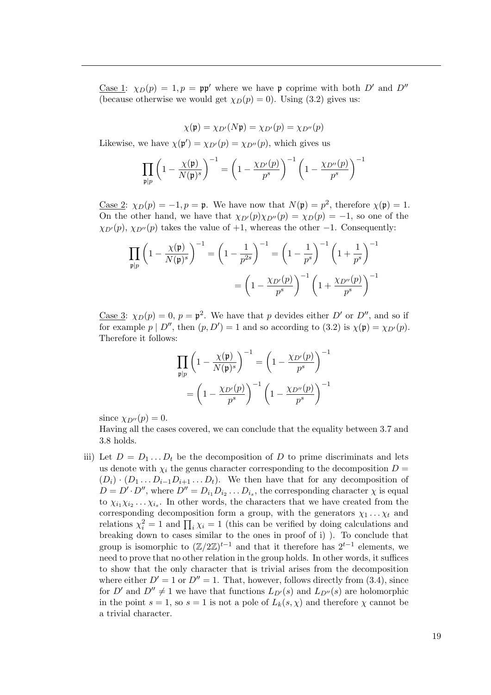Case 1:  $\chi_D(p) = 1, p = pp'$  where we have p coprime with both D' and D'' (because otherwise we would get  $\chi_D(p) = 0$ ). Using [\(3.2\)](#page-18-5) gives us:

$$
\chi(\mathfrak{p}) = \chi_{D'}(N\mathfrak{p}) = \chi_{D'}(p) = \chi_{D''}(p)
$$

Likewise, we have  $\chi(\mathfrak{p}') = \chi_{D'}(p) = \chi_{D''}(p)$ , which gives us

$$
\prod_{\mathfrak{p}|p} \left(1 - \frac{\chi(\mathfrak{p})}{N(\mathfrak{p})^s}\right)^{-1} = \left(1 - \frac{\chi_{D'}(p)}{p^s}\right)^{-1} \left(1 - \frac{\chi_{D''}(p)}{p^s}\right)^{-1}
$$

<u>Case 2</u>:  $\chi_D(p) = -1, p = \mathfrak{p}$ . We have now that  $N(\mathfrak{p}) = p^2$ , therefore  $\chi(\mathfrak{p}) = 1$ . On the other hand, we have that  $\chi_{D'}(p)\chi_{D''}(p) = \chi_D(p) = -1$ , so one of the  $\chi_{D'}(p)$ ,  $\chi_{D''}(p)$  takes the value of +1, whereas the other −1. Consequently:

$$
\prod_{\mathfrak{p}|p} \left(1 - \frac{\chi(\mathfrak{p})}{N(\mathfrak{p})^s}\right)^{-1} = \left(1 - \frac{1}{p^{2s}}\right)^{-1} = \left(1 - \frac{1}{p^s}\right)^{-1} \left(1 + \frac{1}{p^s}\right)^{-1}
$$

$$
= \left(1 - \frac{\chi_{D'}(p)}{p^s}\right)^{-1} \left(1 + \frac{\chi_{D''}(p)}{p^s}\right)^{-1}
$$

<u>Case 3</u>:  $\chi_D(p) = 0$ ,  $p = \mathfrak{p}^2$ . We have that p devides either D' or D'', and so if for example  $p \mid D''$ , then  $(p, D') = 1$  and so according to [\(3.2\)](#page-18-5) is  $\chi(\mathfrak{p}) = \chi_{D'}(p)$ . Therefore it follows:

$$
\prod_{\mathfrak{p}|p} \left(1 - \frac{\chi(\mathfrak{p})}{N(\mathfrak{p})^s}\right)^{-1} = \left(1 - \frac{\chi_{D'}(p)}{p^s}\right)^{-1}
$$

$$
= \left(1 - \frac{\chi_{D'}(p)}{p^s}\right)^{-1} \left(1 - \frac{\chi_{D''}(p)}{p^s}\right)^{-1}
$$

since  $\chi_{D''}(p) = 0$ .

Having all the cases covered, we can conclude that the equality between [3.7](#page-21-0) and [3.8](#page-21-1) holds.

iii) Let  $D = D_1 \dots D_t$  be the decomposition of D to prime discriminats and lets us denote with  $\chi_i$  the genus character corresponding to the decomposition  $D =$  $(D_i) \cdot (D_1 \dots D_{i-1} D_{i+1} \dots D_t)$ . We then have that for any decomposition of  $D = D' \cdot D''$ , where  $D'' = D_{i_1} D_{i_2} \dots D_{i_s}$ , the corresponding character  $\chi$  is equal to  $\chi_{i_1}\chi_{i_2}\ldots\chi_{i_s}$ . In other words, the characters that we have created from the corresponding decomposition form a group, with the generators  $\chi_1 \dots \chi_t$  and relations  $\chi_i^2 = 1$  and  $\prod_i \chi_i = 1$  (this can be verified by doing calculations and breaking down to cases similar to the ones in proof of i) ). To conclude that group is isomorphic to  $(\mathbb{Z}/2\mathbb{Z})^{t-1}$  and that it therefore has  $2^{t-1}$  elements, we need to prove that no other relation in the group holds. In other words, it suffices to show that the only character that is trivial arises from the decomposition where either  $D' = 1$  or  $D'' = 1$ . That, however, follows directly from [\(3.4\)](#page-18-2), since for  $D'$  and  $D'' \neq 1$  we have that functions  $L_{D'}(s)$  and  $L_{D''}(s)$  are holomorphic in the point  $s = 1$ , so  $s = 1$  is not a pole of  $L_k(s, \chi)$  and therefore  $\chi$  cannot be a trivial character.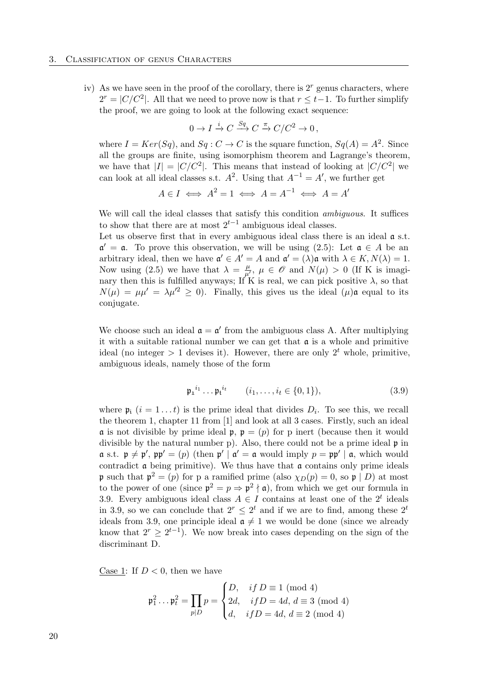#### 3. Classification of genus Characters

iv) As we have seen in the proof of the corollary, there is  $2<sup>r</sup>$  genus characters, where  $2^r = |C/C^2|$ . All that we need to prove now is that  $r \leq t-1$ . To further simplify the proof, we are going to look at the following exact sequence:

$$
0 \to I \xrightarrow{i} C \xrightarrow{Sq} C \xrightarrow{\pi} C/C^2 \to 0,
$$

where  $I = Ker(Sq)$ , and  $Sq: C \to C$  is the square function,  $Sq(A) = A^2$ . Since all the groups are finite, using isomorphism theorem and Lagrange's theorem, we have that  $|I| = |C/C^2|$ . This means that instead of looking at  $|C/C^2|$  we can look at all ideal classes s.t.  $A^2$ . Using that  $A^{-1} = A'$ , we further get

$$
A \in I \iff A^2 = 1 \iff A = A^{-1} \iff A = A'
$$

We will call the ideal classes that satisfy this condition *ambiguous*. It suffices to show that there are at most  $2^{t-1}$  ambiguous ideal classes.

Let us observe first that in every ambiguous ideal class there is an ideal  $a$  s.t.  $\mathfrak{a}' = \mathfrak{a}$ . To prove this observation, we will be using [\(2.5\)](#page-16-0): Let  $\mathfrak{a} \in A$  be an arbitrary ideal, then we have  $\mathfrak{a}' \in A' = A$  and  $\mathfrak{a}' = (\lambda) \mathfrak{a}$  with  $\lambda \in K, N(\lambda) = 1$ . Now using [\(2.5\)](#page-16-0) we have that  $\lambda = \frac{\mu}{\mu'}, \mu \in \mathscr{O}$  and  $N(\mu) > 0$  (If K is imaginary then this is fulfilled anyways; If K is real, we can pick positive  $\lambda$ , so that  $N(\mu) = \mu \mu' = \lambda \mu'^2 \geq 0$ . Finally, this gives us the ideal  $(\mu)$  a equal to its conjugate.

We choose such an ideal  $\mathfrak{a} = \mathfrak{a}'$  from the ambiguous class A. After multiplying it with a suitable rational number we can get that  $\mathfrak a$  is a whole and primitive ideal (no integer  $> 1$  devises it). However, there are only  $2<sup>t</sup>$  whole, primitive, ambiguous ideals, namely those of the form

<span id="page-23-0"></span>
$$
\mathfrak{p}_{1}^{i_{1}}\dots\mathfrak{p}_{t}^{i_{t}} \qquad (i_{1},\dots,i_{t} \in \{0,1\}), \qquad (3.9)
$$

where  $\mathfrak{p}_i$   $(i = 1...t)$  is the prime ideal that divides  $D_i$ . To see this, we recall the theorem 1, chapter 11 from [\[1\]](#page-28-1) and look at all 3 cases. Firstly, such an ideal **a** is not divisible by prime ideal **p**,  $p = (p)$  for p inert (because then it would divisible by the natural number p). Also, there could not be a prime ideal  $\mathfrak p$  in  $\mathfrak{a}$  s.t.  $\mathfrak{p} \neq \mathfrak{p}'$ ,  $\mathfrak{p}\mathfrak{p}' = (p)$  (then  $\mathfrak{p}' | \mathfrak{a}' = \mathfrak{a}$  would imply  $p = \mathfrak{p}\mathfrak{p}' | \mathfrak{a}$ , which would contradict  $\boldsymbol{\alpha}$  being primitive). We thus have that  $\boldsymbol{\alpha}$  contains only prime ideals p such that  $p^2 = (p)$  for p a ramified prime (also  $\chi_D(p) = 0$ , so p | D) at most to the power of one (since  $p^2 = p \Rightarrow p^2 \nmid \mathfrak{a}$ ), from which we get our formula in [3.9.](#page-23-0) Every ambiguous ideal class  $A \in I$  contains at least one of the  $2^t$  ideals in [3.9,](#page-23-0) so we can conclude that  $2^r \leq 2^t$  and if we are to find, among these  $2^t$ ideals from 3.[9,](#page-23-0) one principle ideal  $\mathfrak{a} \neq 1$  we would be done (since we already know that  $2^r \geq 2^{t-1}$ ). We now break into cases depending on the sign of the discriminant D.

Case 1: If  $D < 0$ , then we have

$$
\mathfrak{p}_1^2 \dots \mathfrak{p}_t^2 = \prod_{p | D} p = \begin{cases} D, & \text{if } D \equiv 1 \pmod{4} \\ 2d, & \text{if } D = 4d, d \equiv 3 \pmod{4} \\ d, & \text{if } D = 4d, d \equiv 2 \pmod{4} \end{cases}
$$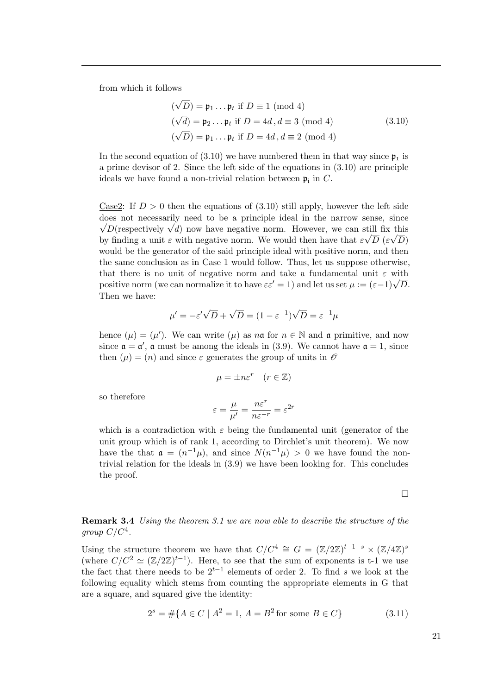from which it follows

<span id="page-24-0"></span>
$$
(\sqrt{D}) = \mathfrak{p}_1 \dots \mathfrak{p}_t \text{ if } D \equiv 1 \pmod{4}
$$
  

$$
(\sqrt{d}) = \mathfrak{p}_2 \dots \mathfrak{p}_t \text{ if } D = 4d, d \equiv 3 \pmod{4}
$$
  

$$
(\sqrt{D}) = \mathfrak{p}_1 \dots \mathfrak{p}_t \text{ if } D = 4d, d \equiv 2 \pmod{4}
$$
 (3.10)

In the second equation of [\(3.10\)](#page-24-0) we have numbered them in that way since  $\mathfrak{p}_1$  is a prime devisor of 2. Since the left side of the equations in [\(3.10\)](#page-24-0) are principle ideals we have found a non-trivial relation between  $\mathfrak{p}_i$  in C.

Case2: If  $D > 0$  then the equations of [\(3.10\)](#page-24-0) still apply, however the left side does not necessarily need to be a principle ideal in the narrow sense, since  $\overline{\mathbb{R}}$ . bes not necessarily need to be a principle ideal in the narrow sense, since  $\overline{D}$  (respectively  $\sqrt{d}$ ) now have negative norm. However, we can still fix this by finding a unit  $\varepsilon$  with negative norm. We would then have that  $\varepsilon \sqrt{D} (\varepsilon \sqrt{D})$ would be the generator of the said principle ideal with positive norm, and then the same conclusion as in Case 1 would follow. Thus, let us suppose otherwise, that there is no unit of negative norm and take a fundamental unit  $\varepsilon$  with that there is no unit of negative norm and take a fundamental unit  $\varepsilon$  with positive norm (we can normalize it to have  $\varepsilon \varepsilon' = 1$ ) and let us set  $\mu := (\varepsilon - 1)\sqrt{D}$ . Then we have:

$$
\mu' = -\varepsilon'\sqrt{D} + \sqrt{D} = (1 - \varepsilon^{-1})\sqrt{D} = \varepsilon^{-1}\mu
$$

hence  $(\mu) = (\mu')$ . We can write  $(\mu)$  as  $n\mathfrak{a}$  for  $n \in \mathbb{N}$  and  $\mathfrak{a}$  primitive, and now since  $\mathfrak{a} = \mathfrak{a}'$ ,  $\mathfrak{a}$  must be among the ideals in [\(3.9\)](#page-23-0). We cannot have  $\mathfrak{a} = 1$ , since then  $(\mu) = (n)$  and since  $\varepsilon$  generates the group of units in  $\mathscr O$ 

$$
\mu = \pm n \varepsilon^r \quad (r \in \mathbb{Z})
$$

so therefore

$$
\varepsilon = \frac{\mu}{\mu'} = \frac{n\varepsilon^r}{n\varepsilon^{-r}} = \varepsilon^{2r}
$$

which is a contradiction with  $\varepsilon$  being the fundamental unit (generator of the unit group which is of rank 1, according to Dirchlet's unit theorem). We now have the that  $\mathfrak{a} = (n^{-1}\mu)$ , and since  $N(n^{-1}\mu) > 0$  we have found the nontrivial relation for the ideals in [\(3.9\)](#page-23-0) we have been looking for. This concludes the proof.

 $\Box$ 

<span id="page-24-1"></span>**Remark 3.4** Using the theorem [3.1](#page-18-4) we are now able to describe the structure of the group  $C/C^4$ .

Using the structure theorem we have that  $C/C^4 \cong G = (\mathbb{Z}/2\mathbb{Z})^{t-1-s} \times (\mathbb{Z}/4\mathbb{Z})^s$ (where  $C/C^2 \simeq (\mathbb{Z}/2\mathbb{Z})^{t-1}$ ). Here, to see that the sum of exponents is t-1 we use the fact that there needs to be  $2^{t-1}$  elements of order 2. To find s we look at the following equality which stems from counting the appropriate elements in G that are a square, and squared give the identity:

$$
2s = #{A \in C | A2 = 1, A = B2 for some B \in C}
$$
 (3.11)

21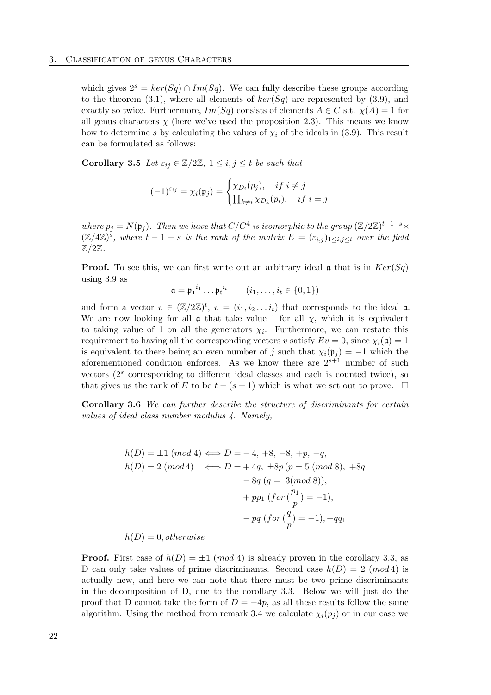which gives  $2^s = \text{ker}(Sq) \cap \text{Im}(Sq)$ . We can fully describe these groups according to the theorem [\(3.1\)](#page-18-4), where all elements of  $ker(Sq)$  are represented by [\(3.9\)](#page-23-0), and exactly so twice. Furthermore,  $Im(Sq)$  consists of elements  $A \in C$  s.t.  $\chi(A) = 1$  for all genus characters  $\chi$  (here we've used the proposition [2.3\)](#page-11-0). This means we know how to determine s by calculating the values of  $\chi_i$  of the ideals in [\(3.9\)](#page-23-0). This result can be formulated as follows:

Corollary 3.5 Let  $\varepsilon_{ij} \in \mathbb{Z}/2\mathbb{Z}$ ,  $1 \leq i, j \leq t$  be such that

$$
(-1)^{\varepsilon_{ij}} = \chi_i(\mathfrak{p}_j) = \begin{cases} \chi_{D_i}(p_j), & if \ i \neq j \\ \prod_{k \neq i} \chi_{D_k}(p_i), & if \ i = j \end{cases}
$$

where  $p_j = N(\mathfrak{p}_j)$ . Then we have that  $C/C^4$  is isomorphic to the group  $(\mathbb{Z}/2\mathbb{Z})^{t-1-s} \times$  $(\mathbb{Z}/4\mathbb{Z})^s$ , where  $t-1-s$  is the rank of the matrix  $E = (\varepsilon_{i,j})_{1 \leq i,j \leq t}$  over the field  $\mathbb{Z}/2\mathbb{Z}$ .

**Proof.** To see this, we can first write out an arbitrary ideal  $\alpha$  that is in  $Ker(Sq)$ using [3.9](#page-23-0) as

$$
\mathfrak{a} = \mathfrak{p_1}^{i_1} \dots \mathfrak{p_t}^{i_t} \qquad (i_1, \dots, i_t \in \{0, 1\})
$$

and form a vector  $v \in (\mathbb{Z}/2\mathbb{Z})^t$ ,  $v = (i_1, i_2 \dots i_t)$  that corresponds to the ideal  $\mathfrak{a}$ . We are now looking for all  $\alpha$  that take value 1 for all  $\chi$ , which it is equivalent to taking value of 1 on all the generators  $\chi_i$ . Furthermore, we can restate this requirement to having all the corresponding vectors v satisfy  $Ev = 0$ , since  $\chi_i(\mathfrak{a}) = 1$ is equivalent to there being an even number of j such that  $\chi_i(\mathfrak{p}_i) = -1$  which the aforementioned condition enforces. As we know there are  $2^{s+1}$  number of such vectors  $(2<sup>s</sup>$  corresponidng to different ideal classes and each is counted twice), so that gives us the rank of E to be  $t - (s + 1)$  which is what we set out to prove.  $\Box$ 

Corollary 3.6 We can further describe the structure of discriminants for certain values of ideal class number modulus 4. Namely,

$$
h(D) = \pm 1 \ (mod \ 4) \iff D = -4, +8, -8, +p, -q,
$$
  
\n
$$
h(D) = 2 \ (mod \ 4) \iff D = +4q, \ \pm 8p \ (p = 5 \ (mod \ 8), +8q
$$
  
\n
$$
- 8q \ (q = 3 \ (mod \ 8)),
$$
  
\n
$$
+ pp_1 \ (for \ (\frac{p_1}{p}) = -1),
$$
  
\n
$$
- pq \ (for \ (\frac{q}{p}) = -1), +qq_1
$$

 $h(D) = 0$ , otherwise

**Proof.** First case of  $h(D) = \pm 1 \pmod{4}$  is already proven in the corollary [3.3,](#page-18-1) as D can only take values of prime discriminants. Second case  $h(D) = 2 \pmod{4}$  is actually new, and here we can note that there must be two prime discriminants in the decomposition of D, due to the corollary [3.3.](#page-18-1) Below we will just do the proof that D cannot take the form of  $D = -4p$ , as all these results follow the same algorithm. Using the method from remark [3.4](#page-24-1) we calculate  $\chi_i(p_i)$  or in our case we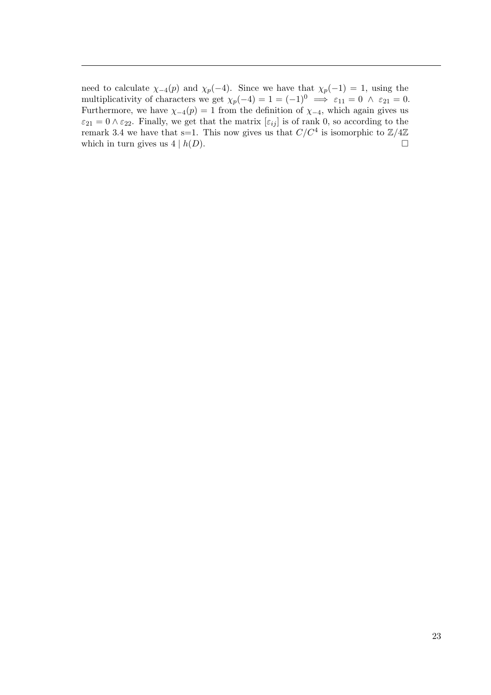need to calculate  $\chi_{-4}(p)$  and  $\chi_{p}(-4)$ . Since we have that  $\chi_{p}(-1) = 1$ , using the multiplicativity of characters we get  $\chi_p(-4) = 1 = (-1)^0 \implies \varepsilon_{11} = 0 \land \varepsilon_{21} = 0.$ Furthermore, we have  $\chi_{-4}(p) = 1$  from the definition of  $\chi_{-4}$ , which again gives us  $\varepsilon_{21} = 0 \wedge \varepsilon_{22}$ . Finally, we get that the matrix  $[\varepsilon_{ij}]$  is of rank 0, so according to the remark [3.4](#page-24-1) we have that s=1. This now gives us that  $C/C^4$  is isomorphic to  $\mathbb{Z}/4\mathbb{Z}$ which in turn gives us  $4 | h(D)$ .